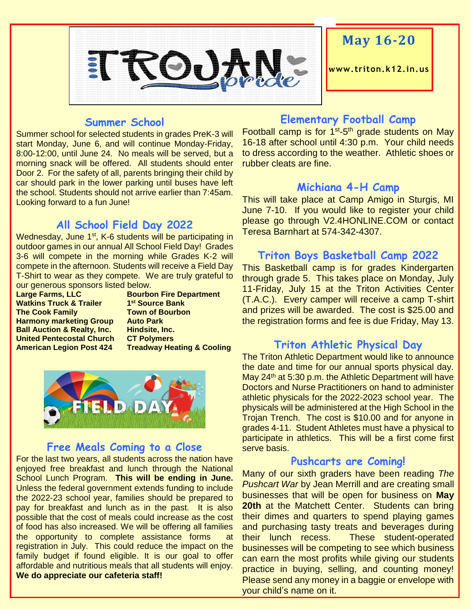

## **May 16-20**

**www. triton.k12.in.us**

#### **Summer School**

Summer school for selected students in grades PreK-3 will start Monday, June 6, and will continue Monday-Friday, 8:00-12:00, until June 24. No meals will be served, but a morning snack will be offered. All students should enter Door 2. For the safety of all, parents bringing their child by car should park in the lower parking until buses have left the school. Students should not arrive earlier than 7:45am. Looking forward to a fun June!

#### **All School Field Day 2022**

Wednesday, June 1<sup>st</sup>, K-6 students will be participating in outdoor games in our annual All School Field Day! Grades 3-6 will compete in the morning while Grades K-2 will compete in the afternoon. Students will receive a Field Day T-Shirt to wear as they compete. We are truly grateful to our generous sponsors listed below.

**Large Farms, LLC Bourbon Fire Department Watkins Truck & Trailer The Cook Family Town of Bourbon Harmony marketing Group Auto Park Ball Auction & Realty, Inc. Hindsite, Inc. United Pentecostal Church CT Polymers American Legion Post 424 Treadway Heating & Cooling**

**st Source Bank**



#### **Free Meals Coming to a Close**

For the last two years, all students across the nation have enjoyed free breakfast and lunch through the National School Lunch Program. **This will be ending in June.** Unless the federal government extends funding to include the 2022-23 school year, families should be prepared to pay for breakfast and lunch as in the past. It is also possible that the cost of meals could increase as the cost of food has also increased. We will be offering all families the opportunity to complete assistance forms at registration in July. This could reduce the impact on the family budget if found eligible. It is our goal to offer affordable and nutritious meals that all students will enjoy. **We do appreciate our cafeteria staff!**

#### **Elementary Football Camp**

Football camp is for 1<sup>st</sup>-5<sup>th</sup> grade students on May 16-18 after school until 4:30 p.m. Your child needs to dress according to the weather. Athletic shoes or rubber cleats are fine.

#### **Michiana 4-H Camp**

This will take place at Camp Amigo in Sturgis, MI June 7-10. If you would like to register your child please go through V2.4HONLINE.COM or contact Teresa Barnhart at 574-342-4307.

#### **Triton Boys Basketball Camp 2022**

This Basketball camp is for grades Kindergarten through grade 5. This takes place on Monday, July 11-Friday, July 15 at the Triton Activities Center (T.A.C.). Every camper will receive a camp T-shirt and prizes will be awarded. The cost is \$25.00 and the registration forms and fee is due Friday, May 13.

#### **Triton Athletic Physical Day**

The Triton Athletic Department would like to announce the date and time for our annual sports physical day. May  $24<sup>th</sup>$  at 5:30 p.m. the Athletic Department will have Doctors and Nurse Practitioners on hand to administer athletic physicals for the 2022-2023 school year. The physicals will be administered at the High School in the Trojan Trench. The cost is \$10.00 and for anyone in grades 4-11. Student Athletes must have a physical to participate in athletics. This will be a first come first serve basis.

#### **Pushcarts are Coming!**

Many of our sixth graders have been reading *The Pushcart War* by Jean Merrill and are creating small businesses that will be open for business on **May 20th at the Matchett Center. Students can bring** their dimes and quarters to spend playing games and purchasing tasty treats and beverages during their lunch recess. These student-operated businesses will be competing to see which business can earn the most profits while giving our students practice in buying, selling, and counting money! Please send any money in a baggie or envelope with your child's name on it.